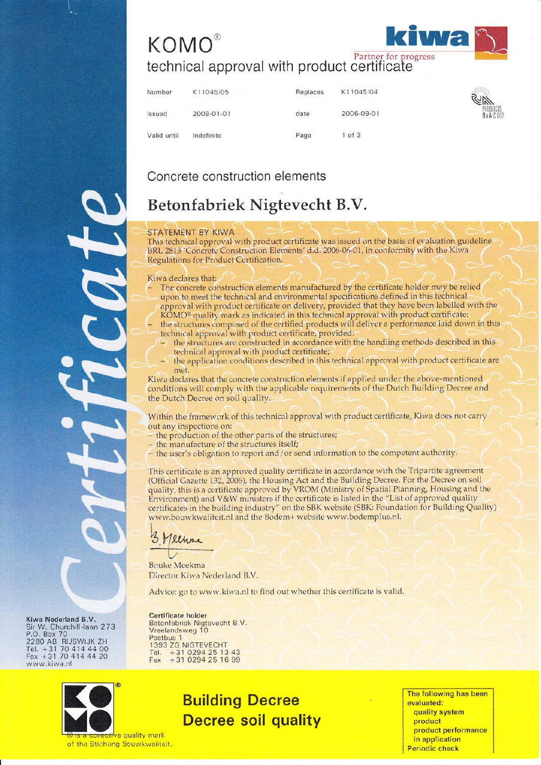# **KOMO**® technical approval with product certificate



## Concrete construction elements

## Betonfabriek Nigtevecht B.V.

### **STATEMENT BY KIWA**

This technical approval with product certificate was issued on the basis of evaluation guideline BRL 2813 'Concrete Construction Elements' d.d. 2006-06-01, in conformity with the Kiwa Regulations for Product Certification.

### Kiwa declares that:

- The concrete construction elements manufactured by the certificate holder may be relied upon to meet the technical and environmental specifications defined in this technical
- approval with product certificate on delivery, provided that they have been labelled with the KOMO® quality mark as indicated in this technical approval with product certificate; the structures composed of the certified products will deliver a performance laid down in this technical approval with product certificate, provided:
	- the structures are constructed in accordance with the handling methods described in this technical approval with product certificate;
- the application conditions described in this technical approval with product certificate are met.

Kiwa declares that the concrete construction elements if applied under the above-mentioned conditions will comply with the applicable requirements of the Dutch Building Decree and the Dutch Decree on soil quality.

Within the framework of this technical approval with product certificate, Kiwa does not carry out any inspections on:

- the production of the other parts of the structures;
- the manufacture of the structures itself;
- the user's obligation to report and/or send information to the competent authority.

This certificate is an approved quality certificate in accordance with the Tripartite agreement (Official Gazette 132, 2006), the Housing Act and the Building Decree. For the Decree on soil<br>quality, this is a certificate approved by VROM (Ministry of Spatial Planning, Housing and the<br>Environment) and V&W ministers if certificates in the building industry" on the SBK website (SBK: Foundation for Building Quality) www.bouwkwaliteit.nl and the Bodem+ website www.bodemplus.nl.

Klhre

**Certificate holder** 

Vreelandsweg 10 Postbus 1

Fax

1393 ZG NIGTEVECHT Tel. +31 0294 25 13 43<br>Fax +31 0294 25 13 43

**Bouke Meekma** Director Kiwa Nederland B.V.

Betonfabriek Nigtevecht B.V.

Advice: go to www.kiwa.nl to find out whether this certificate is valid.

Kiwa Nederland B.V. Sir W. Churchill Haan 273<br>P.O. Box 70<br>2280 AB RIJSWIJK ZH<br>Tel. + 31 70 414 44 00<br>Fax + 31 70 414 44 20 www.kiwa.nl



is a conective quality mark of the Stichting Bouwkwallteit.

## **Building Decree Decree soil quality**

The following has been evaluated: quality system product product performance in application **Periodic check**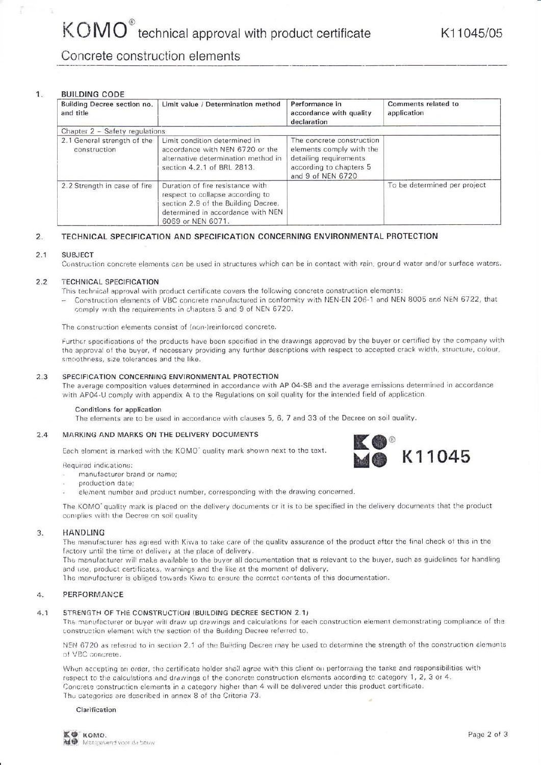## Concrete construction elements

#### 1. **BUILDING CODE**

 $\tilde{\Xi}$ 

| Building Decree section no.<br>and title    | Limit value / Determination method                                                                                                                                    | Performance in<br>accordance with quality<br>declaration                                                                        | Comments related to<br>application |
|---------------------------------------------|-----------------------------------------------------------------------------------------------------------------------------------------------------------------------|---------------------------------------------------------------------------------------------------------------------------------|------------------------------------|
| Chapter 2 - Safety regulations              |                                                                                                                                                                       |                                                                                                                                 |                                    |
| 2.1 General strength of the<br>construction | Limit condition determined in<br>accordance with NEN 6720 or the<br>alternative determination method in<br>section 4.2.1 of BRL 2813.                                 | The concrete construction<br>elements comply with the<br>detailing requirements<br>according to chapters 5<br>and 9 of NEN 6720 |                                    |
| 2.2 Strength in case of fire                | Duration of fire resistance with<br>respect to collapse according to<br>section 2.9 of the Building Decree,<br>determined in accordance with NEN<br>6069 or NEN 6071. |                                                                                                                                 | To be determined per project       |

#### TECHNICAL SPECIFICATION AND SPECIFICATION CONCERNING ENVIRONMENTAL PROTECTION  $2.$

#### $2.1$ **SUBJECT**

Construction concrete elements can be used in structures which can be in contact with rain, ground water and/or surface waters.

#### $2.2$ **TECHNICAL SPECIFICATION**

- This technical approval with product certificate covers the following concrete construction elements:
- Construction elements of VBC concrete manufactured in conformity with NEN-EN 206-1 and NEN 8005 and NEN 6722, that comply with the requirements in chapters 5 and 9 of NEN 6720.

The construction elements consist of (non-)reinforced concrete.

Further specifications of the products have been specified in the drawings approved by the buyer or certified by the company with the approval of the buyer, if necessary providing any further descriptions with respect to accepted crack width, structure, colour, smoothness, size tolerances and the like.

#### SPECIFICATION CONCERNING ENVIRONMENTAL PROTECTION  $2.3$

The average composition values determined in accordance with AP 04-SB and the average emissions determined in accordance with AP04-U comply with appendix A to the Regulations on soil quality for the intended field of application.

### Conditions for application

The elements are to be used in accordance with clauses 5, 6, 7 and 33 of the Decree on soil quality.

#### MARKING AND MARKS ON THE DELIVERY DOCUMENTS  $2.4$

Each element is marked with the KOMO' quality mark shown next to the text.

**Required indications:** 

- manufacturer brand or name;
- production date:
- element number and product number, corresponding with the drawing concerned.

The KOMO' quality mark is placed on the delivery documents or it is to be specified in the delivery documents that the product complies with the Decree on soil quality

#### **HANDLING** 3.

The manufacturer has agreed with Kiwa to take care of the quality assurance of the product after the final check of this in the factory until the time of delivery at the place of delivery.

The manufacturer will make available to the buyer all documentation that is relevant to the buyer, such as guidelines for handling and use, product certificates, warnings and the like at the moment of delivery.

The manufacturer is obliged towards Kiwa to ensure the correct contents of this documentation.

#### PERFORMANCE  $\Delta$ .

#### $4.1$ STRENGTH OF THE CONSTRUCTION (BUILDING DECREE SECTION 2.1)

The manufacturer or buyer will draw up drawings and calculations for each construction element demonstrating compliance of the construction element with the section of the Building Decree referred to.

NEN 6720 as referred to in section 2.1 of the Building Decree may be used to determine the strength of the construction elements of VBC concrete.

When accepting an order, the certificate holder shall agree with this client on performing the tasks and responsibilities with respect to the calculations and drawings of the concrete construction elements according to category 1, 2, 3 or 4. Concrete construction elements in a category higher than 4 will be delivered under this product certificate. The categories are described in annex 8 of the Criteria 73.

### Clarification

K11045